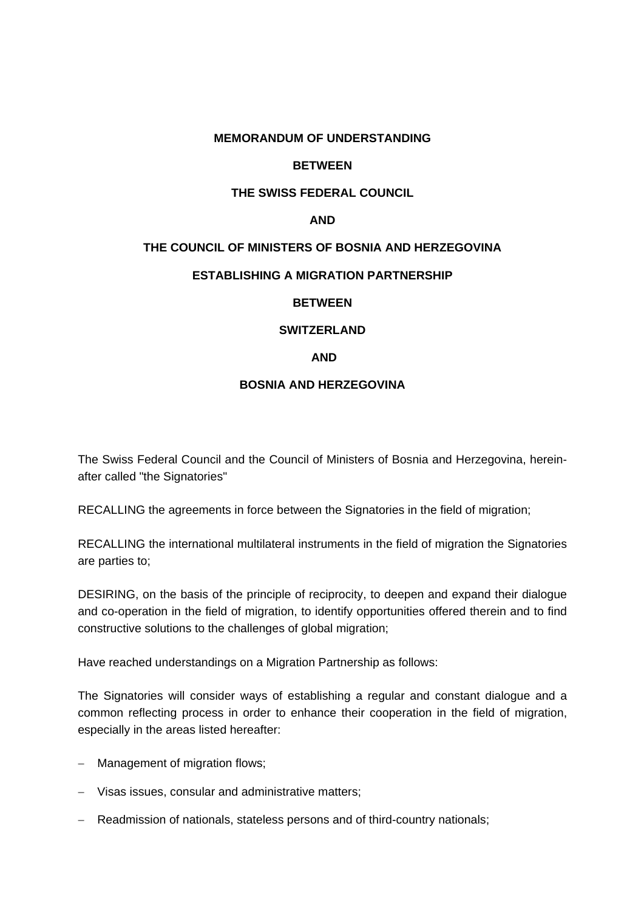## **MEMORANDUM OF UNDERSTANDING**

# **BETWEEN**

# **THE SWISS FEDERAL COUNCIL**

## **AND**

# **THE COUNCIL OF MINISTERS OF BOSNIA AND HERZEGOVINA**

## **ESTABLISHING A MIGRATION PARTNERSHIP**

## **BETWEEN**

# **SWITZERLAND**

## **AND**

## **BOSNIA AND HERZEGOVINA**

The Swiss Federal Council and the Council of Ministers of Bosnia and Herzegovina, hereinafter called "the Signatories"

RECALLING the agreements in force between the Signatories in the field of migration;

RECALLING the international multilateral instruments in the field of migration the Signatories are parties to;

DESIRING, on the basis of the principle of reciprocity, to deepen and expand their dialogue and co-operation in the field of migration, to identify opportunities offered therein and to find constructive solutions to the challenges of global migration;

Have reached understandings on a Migration Partnership as follows:

The Signatories will consider ways of establishing a regular and constant dialogue and a common reflecting process in order to enhance their cooperation in the field of migration, especially in the areas listed hereafter:

- Management of migration flows;
- Visas issues, consular and administrative matters;
- Readmission of nationals, stateless persons and of third-country nationals;